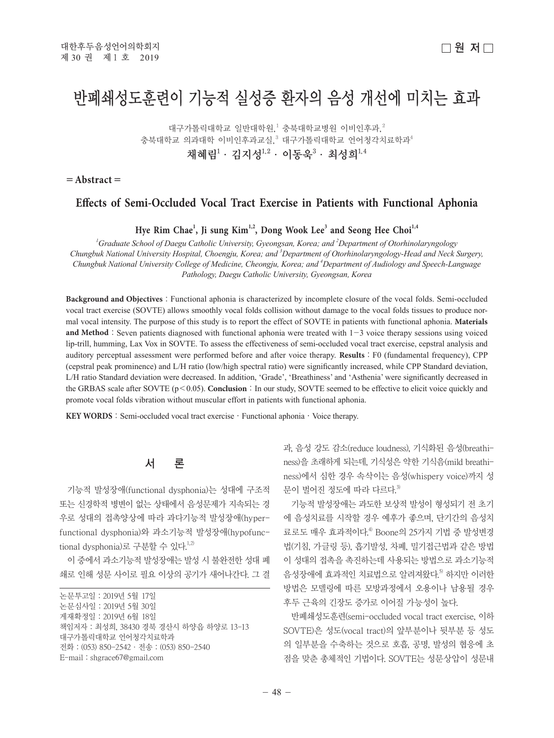# 반폐쇄성도훈련이 기능적 실성증 환자의 음성 개선에 미치는 효과

대구가톨릭대학교 일반대학원,<sup>1</sup> 충북대학교병원 이비인후과,<sup>2</sup> 충북대학교 의과대학 이비인후과교실, $^3$  대구가톨릭대학교 언어청각치료학과 $^4$ 채혜림 $^1\cdot$  김지성 $^{1,2}\cdot$  이동욱 $^3\cdot$  최성희 $^{1,4}$ 

 $=$ **Abstract** $=$ 

### **Effects of Semi-Occluded Vocal Tract Exercise in Patients with Functional Aphonia**

**Hye Rim Chae<sup>1</sup> , Ji sung Kim1,2, Dong Wook Lee3 and Seong Hee Choi1,4**

*1 Graduate School of Daegu Catholic University, Gyeongsan, Korea; and 2 Department of Otorhinolaryngology Chungbuk National University Hospital, Choengju, Korea; and 3 Department of Otorhinolaryngology-Head and Neck Surgery, Chungbuk National University College of Medicine, Cheongju, Korea; and 4 Department of Audiology and Speech-Language Pathology, Daegu Catholic University, Gyeongsan, Korea*

**Background and Objectives**:Functional aphonia is characterized by incomplete closure of the vocal folds. Semi-occluded vocal tract exercise (SOVTE) allows smoothly vocal folds collision without damage to the vocal folds tissues to produce normal vocal intensity. The purpose of this study is to report the effect of SOVTE in patients with functional aphonia. **Materials and Method**: Seven patients diagnosed with functional aphonia were treated with  $1-3$  voice therapy sessions using voiced lip-trill, humming, Lax Vox in SOVTE. To assess the effectiveness of semi-occluded vocal tract exercise, cepstral analysis and auditory perceptual assessment were performed before and after voice therapy. Results : F0 (fundamental frequency), CPP (cepstral peak prominence) and L/H ratio (low/high spectral ratio) were significantly increased, while CPP Standard deviation, L/H ratio Standard deviation were decreased. In addition, 'Grade', 'Breathiness' and 'Asthenia' were significantly decreased in the GRBAS scale after SOVTE  $(p<0.05)$ . **Conclusion**: In our study, SOVTE seemed to be effective to elicit voice quickly and promote vocal folds vibration without muscular effort in patients with functional aphonia.

**KEY WORDS**: Semi-occluded vocal tract exercise · Functional aphonia · Voice therapy.

## 서 론

기능적 발성장애(functional dysphonia)는 성대에 구조적 또는 신경학적 병변이 없는 상태에서 음성문제가 지속되는 경 우로 성대의 접촉양상에 따라 과다기능적 발성장애(hyperfunctional dysphonia)와 과소기능적 발성장애(hypofunctional dysphonia)로 구분할 수 있다.<sup>1,2)</sup>

이 중에서 과소기능적 발성장애는 발성 시 불완전한 성대 폐 쇄로 인해 성문 사이로 필요 이상의 공기가 새어나간다. 그 결

| 논문투고일 : 2019년 5월 17일                      |
|-------------------------------------------|
| 논문심사일 : 2019년 5월 30일                      |
| 게재확정일 : 2019년 6월 18일                      |
| 책임저자 : 최성희, 38430 경북 경산시 하양읍 하양로 13-13    |
| 대구가톨릭대학교 언어청각치료학과                         |
| 전화 : (053) 850-2542 · 전송 : (053) 850-2540 |
| $E$ -mail: shgrace67@gmail.com            |
|                                           |

과, 음성 강도 감소(reduce loudness), 기식화된 음성(breathiness)을 초래하게 되는데, 기식성은 약한 기식음(mild breathiness)에서 심한 경우 속삭이는 음성(whispery voice)까지 성 문이 벌어진 정도에 따라 다르다.<sup>3)</sup>

기능적 발성장애는 과도한 보상적 발성이 형성되기 전 초기 에 음성치료를 시작할 경우 예후가 좋으며, 단기간의 음성치 료로도 매우 효과적이다.<sup>4)</sup> Boone의 25가지 기법 중 발성변경 법(기침, 가글링 등), 흡기발성, 차폐, 밀기접근법과 같은 방법 이 성대의 접촉을 촉진하는데 사용되는 방법으로 과소기능적 음성장애에 효과적인 치료법으로 알려져왔다. 5) 하지만 이러한 방법은 모델링에 따른 모방과정에서 오용이나 남용될 경우 후두 근육의 긴장도 증가로 이어질 가능성이 높다.

반폐쇄성도훈련(semi-occluded vocal tract exercise, 이하 SOVTE)은 성도(vocal tract)의 앞부분이나 뒷부분 등 성도 의 일부분을 수축하는 것으로 호흡, 공명, 발성의 협응에 초 점을 맞춘 총체적인 기법이다. SOVTE는 성문상압이 성문내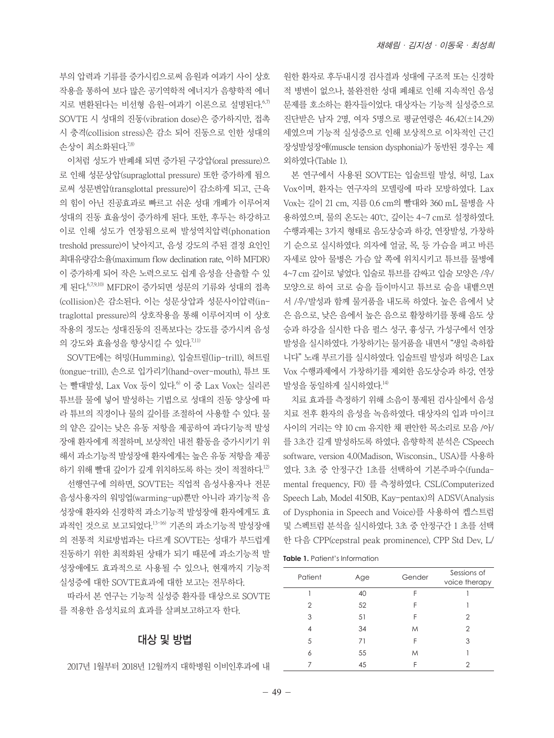부의 압력과 기류를 증가시킴으로써 음원과 여과기 사이 상호 작용을 통하여 보다 많은 공기역학적 에너지가 음향학적 에너 지로 변환된다는 비선형 음원-여과기 이론으로 설명된다. 6,7) SOVTE 시 성대의 진동(vibration dose)은 증가하지만, 접촉 시 충격(collision stress)은 감소 되어 진동으로 인한 성대의 손상이 최소화된다.<sup>7,8)</sup>

이처럼 성도가 반폐쇄 되면 증가된 구강압(oral pressure)으 로 인해 성문상압(supraglottal pressure) 또한 증가하게 됨으 로써 성문변압(transglottal pressure)이 감소하게 되고, 근육 의 힘이 아닌 진공효과로 빠르고 쉬운 성대 개폐가 이루어져 성대의 진동 효율성이 증가하게 된다. 또한, 후두는 하강하고 이로 인해 성도가 연장됨으로써 발성역치압력(phonation treshold pressure)이 낮아지고, 음성 강도의 주된 결정 요인인 최대유량감소율(maximum flow declination rate, 이하 MFDR) 이 증가하게 되어 작은 노력으로도 쉽게 음성을 산출할 수 있 게 된다. 6,7,9,10) MFDR이 증가되면 성문의 기류와 성대의 접촉 (collision)은 감소된다. 이는 성문상압과 성문사이압력(intraglottal pressure)의 상호작용을 통해 이루어지며 이 상호 작용의 정도는 성대진동의 진폭보다는 강도를 증가시켜 음성 의 강도와 효율성을 향상시킬 수 있다. 7.11)

SOVTE에는 허밍(Humming), 입술트릴(lip-trill), 혀트릴 (tongue-trill), 손으로 입가리기(hand-over-mouth), 튜브 또 는 빨대발성, Lax Vox 등이 있다.<sup>6</sup> 이 중 Lax Vox는 실리콘 튜브를 물에 넣어 발성하는 기법으로 성대의 진동 양상에 따 라 튜브의 직경이나 물의 깊이를 조절하여 사용할 수 있다. 물 의 얕은 깊이는 낮은 유동 저항을 제공하여 과다기능적 발성 장애 환자에게 적절하며, 보상적인 내전 활동을 증가시키기 위 해서 과소기능적 발성장애 환자에게는 높은 유동 저항을 제공 하기 위해 빨대 깊이가 깊게 위치하도록 하는 것이 적절하다. 12) 선행연구에 의하면, SOVTE는 직업적 음성사용자나 전문 음성사용자의 워밍업(warming-up)뿐만 아니라 과기능적 음 성장애 환자와 신경학적 과소기능적 발성장애 환자에게도 효 과적인 것으로 보고되었다.<sup>13-16)</sup> 기존의 과소기능적 발성장애 의 전통적 치료방법과는 다르게 SOVTE는 성대가 부드럽게 진동하기 위한 최적화된 상태가 되기 때문에 과소기능적 발 성장애에도 효과적으로 사용될 수 있으나, 현재까지 기능적

실성증에 대한 SOVTE효과에 대한 보고는 전무하다. 따라서 본 연구는 기능적 실성증 환자를 대상으로 SOVTE

를 적용한 음성치료의 효과를 살펴보고하고자 한다.

#### 대상 및 방법

2017년 1월부터 2018년 12월까지 대학병원 이비인후과에 내

원한 환자로 후두내시경 검사결과 성대에 구조적 또는 신경학 적 병변이 없으나, 불완전한 성대 폐쇄로 인해 지속적인 음성 문제를 호소하는 환자들이었다. 대상자는 기능적 실성증으로 진단받은 남자 2명, 여자 5명으로 평균연령은 46.42(±14.29) 세였으며 기능적 실성증으로 인해 보상적으로 이차적인 근긴 장성발성장애(muscle tension dysphonia)가 동반된 경우는 제 외하였다(Table 1).

본 연구에서 사용된 SOVTE는 입술트릴 발성, 허밍, Lax Vox이며, 환자는 연구자의 모델링에 따라 모방하였다. Lax Vox는 길이 21 cm, 지름 0.6 cm의 빨대와 360 mL 물병을 사 용하였으며, 물의 온도는 40℃, 깊이는 4~7 cm로 설정하였다. 수행과제는 3가지 형태로 음도상승과 하강, 연장발성, 가창하 기 순으로 실시하였다. 의자에 얼굴, 목, 등 가슴을 펴고 바른 자세로 앉아 물병은 가슴 앞 쪽에 위치시키고 튜브를 물병에 4~7 cm 깊이로 넣었다. 입술로 튜브를 감싸고 입술 모양은 /우/ 모양으로 하여 코로 숨을 들이마시고 튜브로 숨을 내뱉으면 서 /우/발성과 함께 물거품을 내도록 하였다. 높은 음에서 낮 은 음으로, 낮은 음에서 높은 음으로 활창하기를 통해 음도 상 승과 하강을 실시한 다음 펄스 성구, 흉성구, 가성구에서 연장 발성을 실시하였다. 가창하기는 물거품을 내면서 "생일 축하합 니다" 노래 부르기를 실시하였다. 입술트릴 발성과 허밍은 Lax Vox 수행과제에서 가창하기를 제외한 음도상승과 하강, 연장 발성을 동일하게 실시하였다. 14)

치료 효과를 측정하기 위해 소음이 통제된 검사실에서 음성 치료 전후 환자의 음성을 녹음하였다. 대상자의 입과 마이크 사이의 거리는 약 10 cm 유지한 채 편안한 목소리로 모음 /아/ 를 3초간 길게 발성하도록 하였다. 음향학적 분석은 CSpeech software, version 4.0(Madison, Wisconsin., USA)를 사용하 였다. 3초 중 안정구간 1초를 선택하여 기본주파수(fundamental frequency, F0) 를 측정하였다. CSL(Computerized Speech Lab, Model 4150B, Kay-pentax)의 ADSV(Analysis of Dysphonia in Speech and Voice)를 사용하여 켑스트럼 및 스펙트럼 분석을 실시하였다. 3초 중 안정구간 1 초를 선택 한 다음 CPP(cepstral peak prominence), CPP Std Dev, L/

| Patient | Age | Gender | Sessions of<br>voice therapy |
|---------|-----|--------|------------------------------|
|         | 40  | F      |                              |
| 2       | 52  | F      |                              |
| 3       | 51  | F      | 2                            |
| 4       | 34  | M      | 2                            |
| 5       | 71  | F      | 3                            |
| 6       | 55  | M      |                              |
|         | 45  | F      |                              |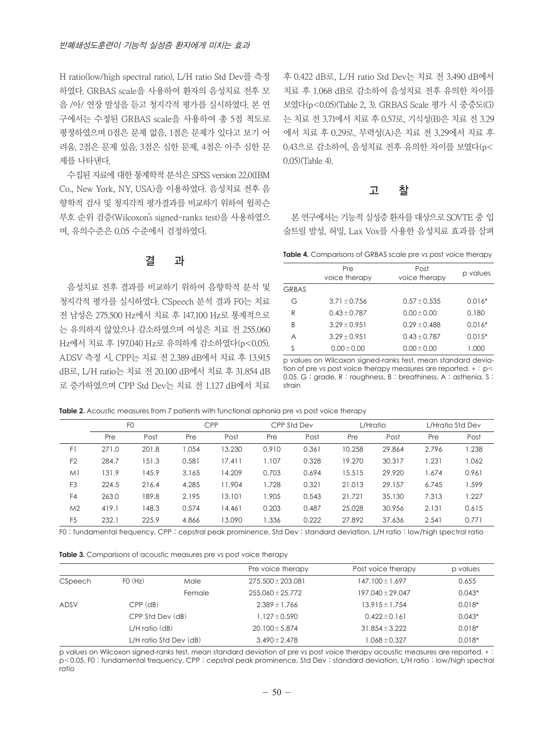H ratio(low/high spectral ratio), L/H ratio Std Dev를 측정 하였다. GRBAS scale을 사용하여 환자의 음성치료 전후 모 음 /아/ 연장 발성을 듣고 청지각적 평가를 실시하였다. 본 연 구에서는 수정된 GRBAS scale을 사용하여 총 5점 척도로 평정하였으며 0점은 문제 없음, 1점은 문제가 있다고 보기 어 려움, 2점은 문제 있음, 3점은 심한 문제, 4점은 아주 심한 문 제를 나타낸다.

수집된 자료에 대한 통계학적 분석은 SPSS version 22.0(IBM Co., New York, NY, USA)을 이용하였다. 음성치료 전후 음 향학적 검사 및 청지각적 평가결과를 비교하기 위하여 윌콕슨 부호 순위 검증(Wilcoxon's signed-ranks test)을 사용하였으 며, 유의수준은 0.05 수준에서 검정하였다.

#### 결 과

음성치료 전후 결과를 비교하기 위하여 음향학적 분석 및 청지각적 평가를 실시하였다. CSpeech 분석 결과 F0는 치료 전 남성은 275.500 Hz에서 치료 후 147.100 Hz로 통계적으로 는 유의하지 않았으나 감소하였으며 여성은 치료 전 255.060 Hz에서 치료 후 197.040 Hz로 유의하게 감소하였다(p<0.05). ADSV 측정 시, CPP는 치료 전 2.389 dB에서 치료 후 13.915 dB로, L/H ratio는 치료 전 20.100 dB에서 치료 후 31.854 dB 로 증가하였으며 CPP Std Dev는 치료 전 1.127 dB에서 치료 후 0.422 dB로, L/H ratio Std Dev는 치료 전 3.490 dB에서 치료 후 1.068 dB로 감소하여 음성치료 전후 유의한 차이를 보였다(p<0.05)(Table 2, 3). GRBAS Scale 평가 시 중증도(G) 는 치료 전 3.71에서 치료 후 0.57로, 기식성(B)은 치료 전 3.29 에서 치료 후 0.29로, 무력성(A)은 치료 전 3.29에서 치료 후 0.43으로 감소하여, 음성치료 전후 유의한 차이를 보였다(p< 0.05)(Table 4).

### 고 찰

본 연구에서는 기능적 실성증 환자를 대상으로 SOVTE 중 입 술트릴 발성, 허밍, Lax Vox를 사용한 음성치료 효과를 살펴

**Table 4.** Comparisons of GRBAS scale pre vs post voice therapy

|              | Pre              | Post             |          |  |
|--------------|------------------|------------------|----------|--|
|              | voice therapy    | voice therapy    | p values |  |
| <b>GRBAS</b> |                  |                  |          |  |
| G            | $3.71 \pm 0.756$ | $0.57 \pm 0.535$ | $0.016*$ |  |
| R            | $0.43 \pm 0.787$ | $0.00 \pm 0.00$  | 0.180    |  |
| В            | $3.29 \pm 0.951$ | $0.29 \pm 0.488$ | $0.016*$ |  |
| Α            | $3.29 \pm 0.951$ | $0.43 \pm 0.787$ | $0.015*$ |  |
| S            | $0.00 \pm 0.00$  | $0.00 \pm 0.00$  | 1.000    |  |
|              |                  |                  |          |  |

p values on Wilcoxon signed-ranks test, mean standard deviation of pre vs post voice therapy measures are reported. \* : p< 0.05. G : grade, R : roughness, B : breathiness, A : asthenia, S : strain

**Table 2.** Acoustic measures from 7 patients with functional aphonia pre vs post voice therapy

|                | F <sub>O</sub> |       | <b>CPP</b> |        | CPP Std Dev |       | L/Hratio |        | L/Hratio Std Dev |       |
|----------------|----------------|-------|------------|--------|-------------|-------|----------|--------|------------------|-------|
|                | Pre            | Post  | Pre        | Post   | Pre         | Post  | Pre      | Post   | Pre              | Post  |
| F1             | 271.0          | 201.8 | 1.054      | 13.230 | 0.910       | 0.361 | 10.258   | 29.864 | 2.796            | 1.238 |
| F <sub>2</sub> | 284.7          | 151.3 | 0.581      | 17.411 | 1.107       | 0.328 | 19.270   | 30.317 | 1.231            | 1.062 |
| M <sub>1</sub> | 131.9          | 145.9 | 3.165      | 14.209 | 0.703       | 0.694 | 15.515   | 29.920 | 1.674            | 0.961 |
| F <sub>3</sub> | 224.5          | 216.4 | 4.285      | 11.904 | 1.728       | 0.321 | 21.013   | 29.157 | 6.745            | 1.599 |
| F <sub>4</sub> | 263.0          | 189.8 | 2.195      | 13.101 | 1.905       | 0.543 | 21.721   | 35.130 | 7.313            | 1.227 |
| M <sub>2</sub> | 419.1          | 148.3 | 0.574      | 14.461 | 0.203       | 0.487 | 25.028   | 30.956 | 2.131            | 0.615 |
| F <sub>5</sub> | 232.1          | 225.9 | 4.866      | 13.090 | 1.336       | 0.222 | 27.892   | 37.636 | 2.541            | 0.771 |

F0 : fundamental frequency, CPP : cepstral peak prominence, Std Dev : standard deviation, L/H ratio : low/high spectral ratio

|  |  |  |  |  | Table 3. Comparisons of acoustic measures pre vs post voice therapy |  |  |  |  |
|--|--|--|--|--|---------------------------------------------------------------------|--|--|--|--|
|--|--|--|--|--|---------------------------------------------------------------------|--|--|--|--|

|         |                    |                        | Pre voice therapy     | Post voice therapy   | p values |
|---------|--------------------|------------------------|-----------------------|----------------------|----------|
| CSpeech | FO(Hz)             | Male                   | $275.500 \pm 203.081$ | $147.100 \pm 1.697$  | 0.655    |
|         |                    | Female                 | $255.060 \pm 25.772$  | $197.040 \pm 29.047$ | $0.043*$ |
| ADSV    | $CPP$ $(dB)$       |                        | $2.389 \pm 1.766$     | $13.915 \pm 1.754$   | $0.018*$ |
|         | CPP Std Dev (dB)   |                        | $1.127 \pm 0.590$     | $0.422 \pm 0.161$    | $0.043*$ |
|         | $L/H$ ratio $(dB)$ |                        | $20.100 \pm 5.874$    | $31.854 \pm 3.222$   | $0.018*$ |
|         |                    | L/H ratio Std Dev (dB) | $3.490 \pm 2.478$     | $1.068 \pm 0.327$    | $0.018*$ |

p values on Wilcoxon signed-ranks test, mean standard deviation of pre vs post voice therapy acoustic measures are reported. \* : p<0.05. F0 : fundamental frequency, CPP : cepstral peak prominence, Std Dev : standard deviation, L/H ratio : low/high spectral ratio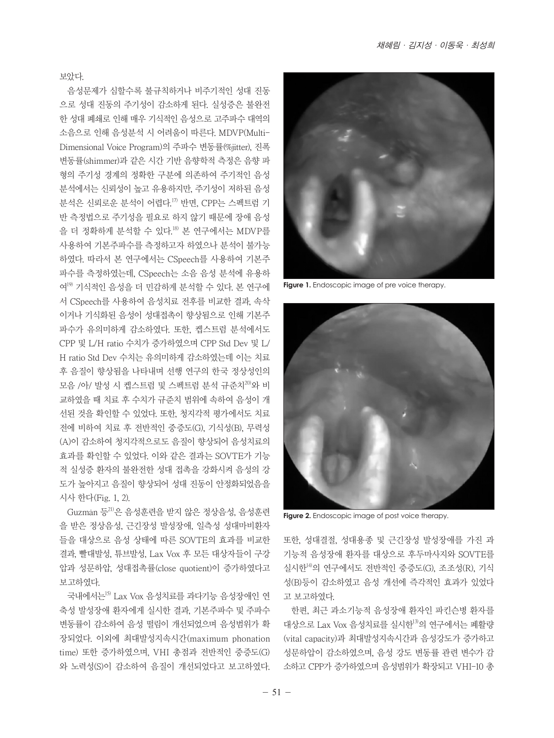보았다.

음성문제가 심할수록 불규칙하거나 비주기적인 성대 진동 으로 성대 진동의 주기성이 감소하게 된다. 실성증은 불완전 한 성대 폐쇄로 인해 매우 기식적인 음성으로 고주파수 대역의 소음으로 인해 음성분석 시 어려움이 따른다. MDVP(Multi-Dimensional Voice Program)의 주파수 변동률(%jitter), 진폭 변동률(shimmer)과 같은 시간 기반 음향학적 측정은 음향 파 형의 주기성 경계의 정확한 구분에 의존하여 주기적인 음성 분석에서는 신뢰성이 높고 유용하지만, 주기성이 저하된 음성 분석은 신뢰로운 분석이 어렵다.<sup>17)</sup> 반면, CPP는 스펙트럼 기 반 측정법으로 주기성을 필요로 하지 않기 때문에 장애 음성 을 더 정확하게 분석할 수 있다.<sup>18)</sup> 본 연구에서는 MDVP를 사용하여 기본주파수를 측정하고자 하였으나 분석이 불가능 하였다. 따라서 본 연구에서는 CSpeech를 사용하여 기본주 파수를 측정하였는데, CSpeech는 소음 음성 분석에 유용하 여19) 기식적인 음성을 더 민감하게 분석할 수 있다. 본 연구에 서 CSpeech를 사용하여 음성치료 전후를 비교한 결과, 속삭 이거나 기식화된 음성이 성대접촉이 향상됨으로 인해 기본주 파수가 유의미하게 감소하였다. 또한, 켑스트럼 분석에서도 CPP 및 L/H ratio 수치가 증가하였으며 CPP Std Dev 및 L/ H ratio Std Dev 수치는 유의미하게 감소하였는데 이는 치료 후 음질이 향상됨을 나타내며 선행 연구의 한국 정상성인의 모음 /아/ 발성 시 켑스트럼 및 스펙트럼 분석 규준치<sup>20)</sup>와 비 교하였을 때 치료 후 수치가 규준치 범위에 속하여 음성이 개 선된 것을 확인할 수 있었다. 또한, 청지각적 평가에서도 치료 전에 비하여 치료 후 전반적인 중증도(G), 기식성(B), 무력성 (A)이 감소하여 청지각적으로도 음질이 향상되어 음성치료의 효과를 확인할 수 있었다. 이와 같은 결과는 SOVTE가 기능 적 실성증 환자의 불완전한 성대 접촉을 강화시켜 음성의 강 도가 높아지고 음질이 향상되어 성대 진동이 안정화되었음을 시사 한다(Fig. 1, 2).

Guzmán 등21)은 음성훈련을 받지 않은 정상음성, 음성훈련 을 받은 정상음성, 근긴장성 발성장애, 일측성 성대마비환자 들을 대상으로 음성 상태에 따른 SOVTE의 효과를 비교한 결과, 빨대발성, 튜브발성, Lax Vox 후 모든 대상자들이 구강 압과 성문하압, 성대접촉률(close quotient)이 증가하였다고 보고하였다.

국내에서는15) Lax Vox 음성치료를 과다기능 음성장애인 연 축성 발성장애 환자에게 실시한 결과, 기본주파수 및 주파수 변동률이 감소하여 음성 떨림이 개선되었으며 음성범위가 확 장되었다. 이외에 최대발성지속시간(maximum phonation time) 또한 증가하였으며, VHI 총점과 전반적인 중증도(G) 와 노력성(S)이 감소하여 음질이 개선되었다고 보고하였다.



**Figure 1.** Endoscopic image of pre voice therapy.



**Figure 2.** Endoscopic image of post voice therapy.

또한, 성대결절, 성대용종 및 근긴장성 발성장애를 가진 과 기능적 음성장애 환자를 대상으로 후두마사지와 SOVTE를 실시한<sup>14)</sup>의 연구에서도 전반적인 중증도(G), 조조성(R), 기식 성(B)등이 감소하였고 음성 개선에 즉각적인 효과가 있었다 고 보고하였다.

한편, 최근 과소기능적 음성장애 환자인 파킨슨병 환자를 대상으로 Lax Vox 음성치료를 실시한13)의 연구에서는 폐활량 (vital capacity)과 최대발성지속시간과 음성강도가 증가하고 성문하압이 감소하였으며, 음성 강도 변동률 관련 변수가 감 소하고 CPP가 증가하였으며 음성범위가 확장되고 VHI-10 총